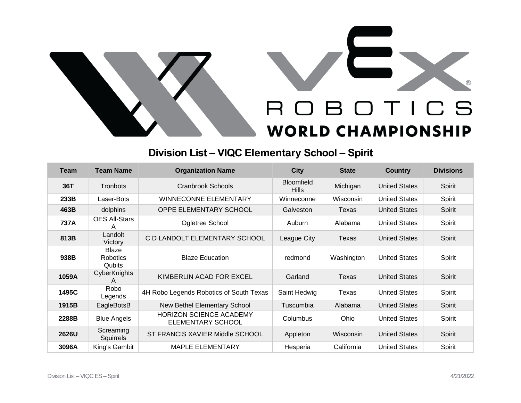

## **Division List – VIQC Elementary School – Spirit**

| Team  | <b>Team Name</b>                   | <b>Organization Name</b>                                   | <b>City</b>                       | <b>State</b> | Country              | <b>Divisions</b> |
|-------|------------------------------------|------------------------------------------------------------|-----------------------------------|--------------|----------------------|------------------|
| 36T   | <b>Tronbots</b>                    | <b>Cranbrook Schools</b>                                   | <b>Bloomfield</b><br><b>Hills</b> | Michigan     | <b>United States</b> | Spirit           |
| 233B  | Laser-Bots                         | <b>WINNECONNE ELEMENTARY</b>                               | Winneconne                        | Wisconsin    | <b>United States</b> | Spirit           |
| 463B  | dolphins                           | <b>OPPE ELEMENTARY SCHOOL</b>                              | Galveston                         | Texas        | <b>United States</b> | Spirit           |
| 737A  | <b>OES All-Stars</b><br>А          | Ogletree School                                            | Auburn                            | Alabama      | <b>United States</b> | Spirit           |
| 813B  | Landolt<br>Victory                 | C D LANDOLT ELEMENTARY SCHOOL                              | League City                       | Texas        | <b>United States</b> | Spirit           |
| 938B  | Blaze<br><b>Robotics</b><br>Qubits | <b>Blaze Education</b>                                     | redmond                           | Washington   | <b>United States</b> | Spirit           |
| 1059A | CyberKnights<br>A                  | KIMBERLIN ACAD FOR EXCEL                                   | Garland                           | Texas        | <b>United States</b> | Spirit           |
| 1495C | Robo<br>Legends                    | 4H Robo Legends Robotics of South Texas                    | Saint Hedwig                      | Texas        | <b>United States</b> | Spirit           |
| 1915B | EagleBotsB                         | New Bethel Elementary School                               | Tuscumbia                         | Alabama      | <b>United States</b> | Spirit           |
| 2288B | <b>Blue Angels</b>                 | <b>HORIZON SCIENCE ACADEMY</b><br><b>ELEMENTARY SCHOOL</b> | Columbus                          | Ohio         | <b>United States</b> | Spirit           |
| 2626U | Screaming<br>Squirrels             | ST FRANCIS XAVIER Middle SCHOOL                            | Appleton                          | Wisconsin    | <b>United States</b> | Spirit           |
| 3096A | King's Gambit                      | <b>MAPLE ELEMENTARY</b>                                    | Hesperia                          | California   | <b>United States</b> | Spirit           |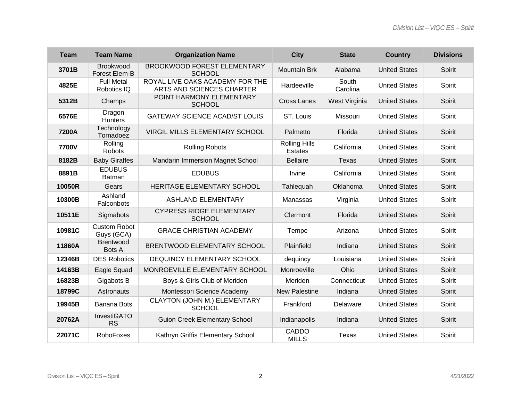| <b>Team</b> | <b>Team Name</b>                  | <b>Organization Name</b>                                     | <b>City</b>                            | <b>State</b>      | <b>Country</b>       | <b>Divisions</b> |
|-------------|-----------------------------------|--------------------------------------------------------------|----------------------------------------|-------------------|----------------------|------------------|
| 3701B       | Brookwood<br>Forest Elem-B        | <b>BROOKWOOD FOREST ELEMENTARY</b><br><b>SCHOOL</b>          | <b>Mountain Brk</b>                    | Alabama           | <b>United States</b> | Spirit           |
| 4825E       | <b>Full Metal</b><br>Robotics IQ  | ROYAL LIVE OAKS ACADEMY FOR THE<br>ARTS AND SCIENCES CHARTER | Hardeeville                            | South<br>Carolina | <b>United States</b> | Spirit           |
| 5312B       | Champs                            | POINT HARMONY ELEMENTARY<br><b>SCHOOL</b>                    | <b>Cross Lanes</b>                     | West Virginia     | <b>United States</b> | Spirit           |
| 6576E       | Dragon<br><b>Hunters</b>          | <b>GATEWAY SCIENCE ACAD/ST LOUIS</b>                         | ST. Louis                              | Missouri          | <b>United States</b> | Spirit           |
| 7200A       | Technology<br>Tornadoez           | VIRGIL MILLS ELEMENTARY SCHOOL                               | Palmetto                               | Florida           | <b>United States</b> | Spirit           |
| 7700V       | Rolling<br><b>Robots</b>          | <b>Rolling Robots</b>                                        | <b>Rolling Hills</b><br><b>Estates</b> | California        | <b>United States</b> | Spirit           |
| 8182B       | <b>Baby Giraffes</b>              | Mandarin Immersion Magnet School                             | <b>Bellaire</b>                        | <b>Texas</b>      | <b>United States</b> | Spirit           |
| 8891B       | <b>EDUBUS</b><br><b>Batman</b>    | <b>EDUBUS</b>                                                | Irvine                                 | California        | <b>United States</b> | Spirit           |
| 10050R      | Gears                             | HERITAGE ELEMENTARY SCHOOL                                   | Tahlequah                              | Oklahoma          | <b>United States</b> | Spirit           |
| 10300B      | Ashland<br>Falconbots             | <b>ASHLAND ELEMENTARY</b>                                    | Manassas                               | Virginia          | <b>United States</b> | Spirit           |
| 10511E      | Sigmabots                         | <b>CYPRESS RIDGE ELEMENTARY</b><br><b>SCHOOL</b>             | Clermont                               | Florida           | <b>United States</b> | Spirit           |
| 10981C      | <b>Custom Robot</b><br>Guys (GCA) | <b>GRACE CHRISTIAN ACADEMY</b>                               | Tempe                                  | Arizona           | <b>United States</b> | Spirit           |
| 11860A      | <b>Brentwood</b><br><b>Bots A</b> | <b>BRENTWOOD ELEMENTARY SCHOOL</b>                           | Plainfield                             | Indiana           | <b>United States</b> | Spirit           |
| 12346B      | <b>DES Robotics</b>               | <b>DEQUINCY ELEMENTARY SCHOOL</b>                            | dequincy                               | Louisiana         | <b>United States</b> | Spirit           |
| 14163B      | Eagle Squad                       | MONROEVILLE ELEMENTARY SCHOOL                                | Monroeville                            | Ohio              | <b>United States</b> | Spirit           |
| 16823B      | Gigabots B                        | Boys & Girls Club of Meriden                                 | Meriden                                | Connecticut       | <b>United States</b> | Spirit           |
| 18799C      | Astronauts                        | Montessori Science Academy                                   | <b>New Palestine</b>                   | Indiana           | <b>United States</b> | Spirit           |
| 19945B      | <b>Banana Bots</b>                | CLAYTON (JOHN M.) ELEMENTARY<br><b>SCHOOL</b>                | Frankford                              | Delaware          | <b>United States</b> | Spirit           |
| 20762A      | InvestiGATO<br><b>RS</b>          | <b>Guion Creek Elementary School</b>                         | Indianapolis                           | Indiana           | <b>United States</b> | Spirit           |
| 22071C      | <b>RoboFoxes</b>                  | Kathryn Griffis Elementary School                            | CADDO<br><b>MILLS</b>                  | Texas             | <b>United States</b> | Spirit           |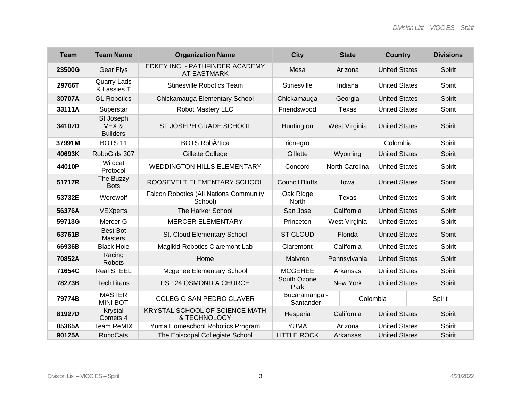| <b>Team</b> | <b>Team Name</b>                     | <b>Organization Name</b>                                 | <b>City</b>                | <b>State</b>    | <b>Country</b>       | <b>Divisions</b> |
|-------------|--------------------------------------|----------------------------------------------------------|----------------------------|-----------------|----------------------|------------------|
| 23500G      | Gear Flys                            | EDKEY INC. - PATHFINDER ACADEMY<br><b>AT EASTMARK</b>    | Mesa                       | Arizona         | <b>United States</b> | Spirit           |
| 29766T      | <b>Quarry Lads</b><br>& Lassies T    | <b>Stinesville Robotics Team</b>                         | Stinesville                | Indiana         | <b>United States</b> | Spirit           |
| 30707A      | <b>GL Robotics</b>                   | Chickamauga Elementary School                            | Chickamauga                | Georgia         | <b>United States</b> | Spirit           |
| 33111A      | Superstar                            | <b>Robot Mastery LLC</b>                                 | Friendswood                | Texas           | <b>United States</b> | Spirit           |
| 34107D      | St Joseph<br>VEX&<br><b>Builders</b> | ST JOSEPH GRADE SCHOOL                                   | Huntington                 | West Virginia   | <b>United States</b> | Spirit           |
| 37991M      | BOTS <sub>11</sub>                   | BOTS Rob <sub>A<sup>3</sup>tica</sub>                    | rionegro                   |                 | Colombia             | Spirit           |
| 40693K      | RoboGirls 307                        | <b>Gillette College</b>                                  | Gillette                   | Wyoming         | <b>United States</b> | Spirit           |
| 44010P      | Wildcat<br>Protocol                  | <b>WEDDINGTON HILLS ELEMENTARY</b>                       | Concord                    | North Carolina  | <b>United States</b> | Spirit           |
| 51717R      | The Buzzy<br><b>Bots</b>             | ROOSEVELT ELEMENTARY SCHOOL                              | <b>Council Bluffs</b>      | lowa            | <b>United States</b> | Spirit           |
| 53732E      | Werewolf                             | <b>Falcon Robotics (All Nations Community</b><br>School) | Oak Ridge<br><b>North</b>  | Texas           | <b>United States</b> | Spirit           |
| 56376A      | VEXperts                             | The Harker School                                        | San Jose                   | California      | <b>United States</b> | Spirit           |
| 59713G      | Mercer G                             | <b>MERCER ELEMENTARY</b>                                 | Princeton                  | West Virginia   | <b>United States</b> | Spirit           |
| 63761B      | <b>Best Bot</b><br><b>Masters</b>    | St. Cloud Elementary School                              | <b>ST CLOUD</b>            | Florida         | <b>United States</b> | Spirit           |
| 66936B      | <b>Black Hole</b>                    | Magikid Robotics Claremont Lab                           | Claremont                  | California      | <b>United States</b> | Spirit           |
| 70852A      | Racing<br>Robots                     | Home                                                     | Malvren                    | Pennsylvania    | <b>United States</b> | Spirit           |
| 71654C      | <b>Real STEEL</b>                    | <b>Mcgehee Elementary School</b>                         | <b>MCGEHEE</b>             | Arkansas        | <b>United States</b> | Spirit           |
| 78273B      | <b>TechTitans</b>                    | PS 124 OSMOND A CHURCH                                   | South Ozone<br>Park        | <b>New York</b> | <b>United States</b> | Spirit           |
| 79774B      | <b>MASTER</b><br><b>MINI BOT</b>     | <b>COLEGIO SAN PEDRO CLAVER</b>                          | Bucaramanga -<br>Santander |                 | Colombia             | Spirit           |
| 81927D      | <b>Krystal</b><br>Comets 4           | KRYSTAL SCHOOL OF SCIENCE MATH<br>& TECHNOLOGY           | Hesperia                   | California      | <b>United States</b> | Spirit           |
| 85365A      | <b>Team ReMIX</b>                    | Yuma Homeschool Robotics Program                         | <b>YUMA</b>                | Arizona         | <b>United States</b> | Spirit           |
| 90125A      | <b>RoboCats</b>                      | The Episcopal Collegiate School                          | <b>LITTLE ROCK</b>         | Arkansas        | <b>United States</b> | Spirit           |